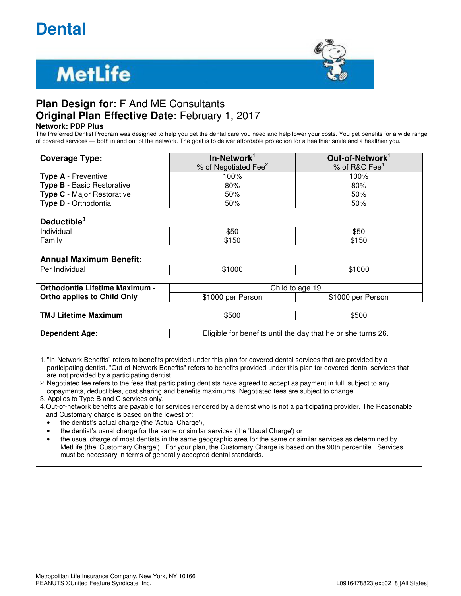## **Dental**

# **MetLife**



## **Plan Design for:** F And ME Consultants **Original Plan Effective Date:** February 1, 2017

**Network: PDP Plus**

The Preferred Dentist Program was designed to help you get the dental care you need and help lower your costs. You get benefits for a wide range of covered services — both in and out of the network. The goal is to deliver affordable protection for a healthier smile and a healthier you.

| <b>Coverage Type:</b>              | In-Network <sup>1</sup><br>% of Negotiated Fee <sup>2</sup>  | Out-of-Network <sup>1</sup><br>% of R&C Fee <sup>4</sup> |
|------------------------------------|--------------------------------------------------------------|----------------------------------------------------------|
| <b>Type A</b> - Preventive         | 100%                                                         | 100%                                                     |
| <b>Type B</b> - Basic Restorative  | 80%                                                          | 80%                                                      |
| <b>Type C</b> - Major Restorative  | 50%                                                          | 50%                                                      |
| Type D - Orthodontia               | 50%                                                          | 50%                                                      |
|                                    |                                                              |                                                          |
| Deductible <sup>3</sup>            |                                                              |                                                          |
| Individual                         | \$50                                                         | \$50                                                     |
| Family                             | \$150                                                        | \$150                                                    |
|                                    |                                                              |                                                          |
| <b>Annual Maximum Benefit:</b>     |                                                              |                                                          |
| Per Individual                     | \$1000                                                       | \$1000                                                   |
|                                    |                                                              |                                                          |
| Orthodontia Lifetime Maximum -     | Child to age 19                                              |                                                          |
| <b>Ortho applies to Child Only</b> | \$1000 per Person                                            | \$1000 per Person                                        |
|                                    |                                                              |                                                          |
| <b>TMJ Lifetime Maximum</b>        | \$500                                                        | \$500                                                    |
|                                    |                                                              |                                                          |
| <b>Dependent Age:</b>              | Eligible for benefits until the day that he or she turns 26. |                                                          |
|                                    |                                                              |                                                          |

1. "In-Network Benefits" refers to benefits provided under this plan for covered dental services that are provided by a participating dentist. "Out-of-Network Benefits" refers to benefits provided under this plan for covered dental services that are not provided by a participating dentist.

2. Negotiated fee refers to the fees that participating dentists have agreed to accept as payment in full, subject to any copayments, deductibles, cost sharing and benefits maximums. Negotiated fees are subject to change.

3. Applies to Type B and C services only.

4. Out-of-network benefits are payable for services rendered by a dentist who is not a participating provider. The Reasonable and Customary charge is based on the lowest of:

- the dentist's actual charge (the 'Actual Charge'),
- the dentist's usual charge for the same or similar services (the 'Usual Charge') or

• the usual charge of most dentists in the same geographic area for the same or similar services as determined by MetLife (the 'Customary Charge'). For your plan, the Customary Charge is based on the 90th percentile. Services must be necessary in terms of generally accepted dental standards.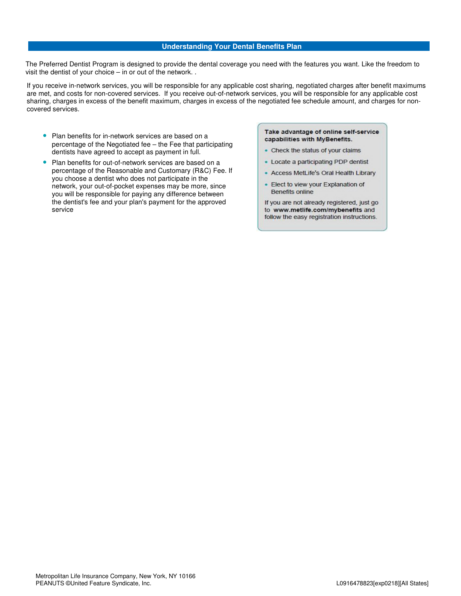#### **Understanding Your Dental Benefits Plan**

The Preferred Dentist Program is designed to provide the dental coverage you need with the features you want. Like the freedom to visit the dentist of your choice – in or out of the network. .

If you receive in-network services, you will be responsible for any applicable cost sharing, negotiated charges after benefit maximums are met, and costs for non-covered services. If you receive out-of-network services, you will be responsible for any applicable cost sharing, charges in excess of the benefit maximum, charges in excess of the negotiated fee schedule amount, and charges for noncovered services.

- Plan benefits for in-network services are based on a percentage of the Negotiated fee – the Fee that participating dentists have agreed to accept as payment in full.
- Plan benefits for out-of-network services are based on a percentage of the Reasonable and Customary (R&C) Fee. If you choose a dentist who does not participate in the network, your out-of-pocket expenses may be more, since you will be responsible for paying any difference between the dentist's fee and your plan's payment for the approved service

#### Take advantage of online self-service capabilities with MyBenefits.

- Check the status of your claims
- Locate a participating PDP dentist
- Access MetLife's Oral Health Library
- Elect to view your Explanation of Benefits online

If you are not already registered, just go to www.metlife.com/mybenefits and follow the easy registration instructions.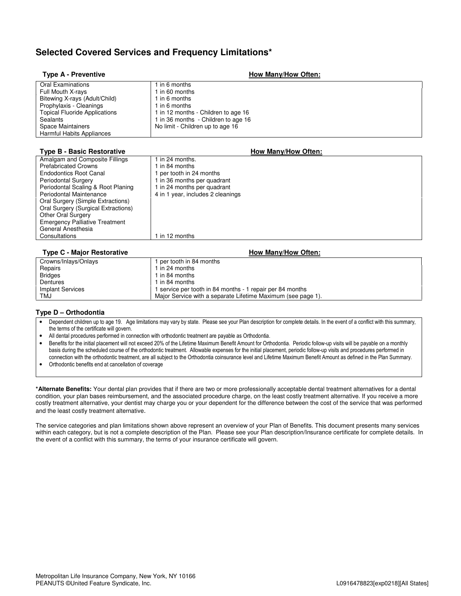## **Selected Covered Services and Frequency Limitations\***

| <b>Type A - Preventive</b>           | How Many/How Often:                 |
|--------------------------------------|-------------------------------------|
| <b>Oral Examinations</b>             | 1 in 6 months                       |
| Full Mouth X-rays                    | in 60 months                        |
| Bitewing X-rays (Adult/Child)        | in 6 months                         |
| Prophylaxis - Cleanings              | in 6 months                         |
| <b>Topical Fluoride Applications</b> | 1 in 12 months - Children to age 16 |
| Sealants                             | 1 in 36 months - Children to age 16 |
| Space Maintainers                    | No limit - Children up to age 16    |
| Harmful Habits Appliances            |                                     |

#### **Type B - Basic Restorative** <br> **How Many/How Often:**

| $\frac{1}{2}$ $\frac{1}{2}$ $\frac{1}{2}$ $\frac{1}{2}$ $\frac{1}{2}$ $\frac{1}{2}$ $\frac{1}{2}$ $\frac{1}{2}$ $\frac{1}{2}$ $\frac{1}{2}$ $\frac{1}{2}$ $\frac{1}{2}$ $\frac{1}{2}$ $\frac{1}{2}$ $\frac{1}{2}$ $\frac{1}{2}$ $\frac{1}{2}$ $\frac{1}{2}$ $\frac{1}{2}$ $\frac{1}{2}$ $\frac{1}{2}$ $\frac{1}{2}$ |                                   |
|---------------------------------------------------------------------------------------------------------------------------------------------------------------------------------------------------------------------------------------------------------------------------------------------------------------------|-----------------------------------|
| Amalgam and Composite Fillings                                                                                                                                                                                                                                                                                      | 1 in 24 months.                   |
| <b>Prefabricated Crowns</b>                                                                                                                                                                                                                                                                                         | 1 in 84 months                    |
| <b>Endodontics Root Canal</b>                                                                                                                                                                                                                                                                                       | 1 per tooth in 24 months          |
| <b>Periodontal Surgery</b>                                                                                                                                                                                                                                                                                          | 1 in 36 months per quadrant       |
| Periodontal Scaling & Root Planing                                                                                                                                                                                                                                                                                  | 1 in 24 months per quadrant       |
| Periodontal Maintenance                                                                                                                                                                                                                                                                                             | 4 in 1 year, includes 2 cleanings |
| Oral Surgery (Simple Extractions)                                                                                                                                                                                                                                                                                   |                                   |
| Oral Surgery (Surgical Extractions)                                                                                                                                                                                                                                                                                 |                                   |
| <b>Other Oral Surgery</b>                                                                                                                                                                                                                                                                                           |                                   |
| <b>Emergency Palliative Treatment</b>                                                                                                                                                                                                                                                                               |                                   |
| General Anesthesia                                                                                                                                                                                                                                                                                                  |                                   |
| Consultations                                                                                                                                                                                                                                                                                                       | 1 in 12 months                    |
|                                                                                                                                                                                                                                                                                                                     |                                   |

#### **Type C - Major Restorative** <br> **How Many/How Often:**

| Crowns/Inlays/Onlays    | 1 per tooth in 84 months                                     |
|-------------------------|--------------------------------------------------------------|
| Repairs                 | 1 in 24 months                                               |
| <b>Bridges</b>          | 1 in 84 months                                               |
| Dentures                | 1 in 84 months                                               |
| <b>Implant Services</b> | 1 service per tooth in 84 months - 1 repair per 84 months    |
| TMJ                     | Major Service with a separate Lifetime Maximum (see page 1). |

#### **Type D – Orthodontia**

- Dependent children up to age 19. Age limitations may vary by state. Please see your Plan description for complete details. In the event of a conflict with this summary, the terms of the certificate will govern.
- All dental procedures performed in connection with orthodontic treatment are payable as Orthodontia.
- Benefits for the initial placement will not exceed 20% of the Lifetime Maximum Benefit Amount for Orthodontia. Periodic follow-up visits will be payable on a monthly basis during the scheduled course of the orthodontic treatment. Allowable expenses for the initial placement, periodic follow-up visits and procedures performed in connection with the orthodontic treatment, are all subject to the Orthodontia coinsurance level and Lifetime Maximum Benefit Amount as defined in the Plan Summary.
- Orthodontic benefits end at cancellation of coverage

**\*Alternate Benefits:** Your dental plan provides that if there are two or more professionally acceptable dental treatment alternatives for a dental condition, your plan bases reimbursement, and the associated procedure charge, on the least costly treatment alternative. If you receive a more costly treatment alternative, your dentist may charge you or your dependent for the difference between the cost of the service that was performed and the least costly treatment alternative.

The service categories and plan limitations shown above represent an overview of your Plan of Benefits. This document presents many services within each category, but is not a complete description of the Plan. Please see your Plan description/Insurance certificate for complete details. In the event of a conflict with this summary, the terms of your insurance certificate will govern.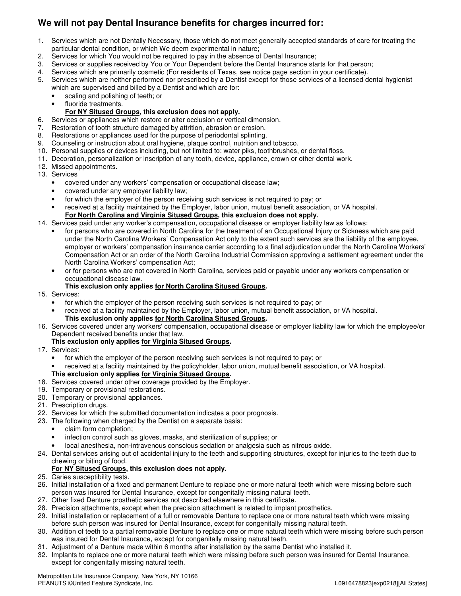## **We will not pay Dental Insurance benefits for charges incurred for:**

- 1. Services which are not Dentally Necessary, those which do not meet generally accepted standards of care for treating the particular dental condition, or which We deem experimental in nature;
- 2. Services for which You would not be required to pay in the absence of Dental Insurance;
- 3. Services or supplies received by You or Your Dependent before the Dental Insurance starts for that person;
- 4. Services which are primarily cosmetic (For residents of Texas, see notice page section in your certificate).
- 5. Services which are neither performed nor prescribed by a Dentist except for those services of a licensed dental hygienist which are supervised and billed by a Dentist and which are for:
	- scaling and polishing of teeth; or
	- fluoride treatments.

#### **For NY Sitused Groups, this exclusion does not apply.**

- 6. Services or appliances which restore or alter occlusion or vertical dimension.
- 7. Restoration of tooth structure damaged by attrition, abrasion or erosion.
- 8. Restorations or appliances used for the purpose of periodontal splinting.
- 9. Counseling or instruction about oral hygiene, plaque control, nutrition and tobacco.
- 10. Personal supplies or devices including, but not limited to: water piks, toothbrushes, or dental floss.
- 11. Decoration, personalization or inscription of any tooth, device, appliance, crown or other dental work.
- 12. Missed appointments.
- 13. Services
	- covered under any workers' compensation or occupational disease law;
	- covered under any employer liability law;
	- for which the employer of the person receiving such services is not required to pay; or
	- received at a facility maintained by the Employer, labor union, mutual benefit association, or VA hospital.  **For North Carolina and Virginia Sitused Groups, this exclusion does not apply.**

## 14. Services paid under any worker's compensation, occupational disease or employer liability law as follows:

- for persons who are covered in North Carolina for the treatment of an Occupational Injury or Sickness which are paid under the North Carolina Workers' Compensation Act only to the extent such services are the liability of the employee, employer or workers' compensation insurance carrier according to a final adjudication under the North Carolina Workers' Compensation Act or an order of the North Carolina Industrial Commission approving a settlement agreement under the North Carolina Workers' compensation Act;
- or for persons who are not covered in North Carolina, services paid or payable under any workers compensation or occupational disease law.
- **This exclusion only applies for North Carolina Sitused Groups.**
- 15. Services:
	- for which the employer of the person receiving such services is not required to pay; or
	- received at a facility maintained by the Employer, labor union, mutual benefit association, or VA hospital. **This exclusion only applies for North Carolina Sitused Groups.**
- 16. Services covered under any workers' compensation, occupational disease or employer liability law for which the employee/or Dependent received benefits under that law.

#### **This exclusion only applies for Virginia Sitused Groups.**

- 17. Services:
	- for which the employer of the person receiving such services is not required to pay; or
	- received at a facility maintained by the policyholder, labor union, mutual benefit association, or VA hospital.

## **This exclusion only applies for Virginia Sitused Groups.**

- 18. Services covered under other coverage provided by the Employer.
- 19. Temporary or provisional restorations.
- 20. Temporary or provisional appliances.
- 21. Prescription drugs.
- 22. Services for which the submitted documentation indicates a poor prognosis.
- 23. The following when charged by the Dentist on a separate basis:
	- claim form completion;
	- infection control such as gloves, masks, and sterilization of supplies; or
	- local anesthesia, non-intravenous conscious sedation or analgesia such as nitrous oxide.
- 24. Dental services arising out of accidental injury to the teeth and supporting structures, except for injuries to the teeth due to chewing or biting of food.

#### **For NY Sitused Groups, this exclusion does not apply.**

- 25. Caries susceptibility tests.
- 26. Initial installation of a fixed and permanent Denture to replace one or more natural teeth which were missing before such person was insured for Dental Insurance, except for congenitally missing natural teeth.
- 27. Other fixed Denture prosthetic services not described elsewhere in this certificate.
- 28. Precision attachments, except when the precision attachment is related to implant prosthetics.
- 29. Initial installation or replacement of a full or removable Denture to replace one or more natural teeth which were missing before such person was insured for Dental Insurance, except for congenitally missing natural teeth.
- 30. Addition of teeth to a partial removable Denture to replace one or more natural teeth which were missing before such person was insured for Dental Insurance, except for congenitally missing natural teeth.
- 31. Adjustment of a Denture made within 6 months after installation by the same Dentist who installed it.
- 32. Implants to replace one or more natural teeth which were missing before such person was insured for Dental Insurance, except for congenitally missing natural teeth.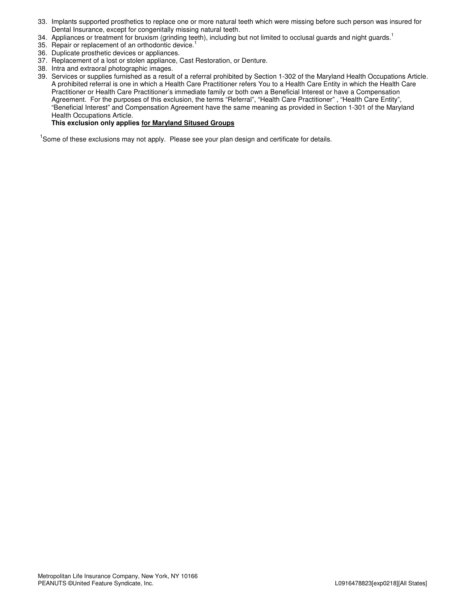- 33. Implants supported prosthetics to replace one or more natural teeth which were missing before such person was insured for Dental Insurance, except for congenitally missing natural teeth.
- 34. Appliances or treatment for bruxism (grinding teeth), including but not limited to occlusal guards and night guards.<sup>1</sup>
- 35. Repair or replacement of an orthodontic device.<sup>1</sup>
- 36. Duplicate prosthetic devices or appliances.
- 37. Replacement of a lost or stolen appliance, Cast Restoration, or Denture.
- 38. Intra and extraoral photographic images.
- 39. Services or supplies furnished as a result of a referral prohibited by Section 1-302 of the Maryland Health Occupations Article. A prohibited referral is one in which a Health Care Practitioner refers You to a Health Care Entity in which the Health Care Practitioner or Health Care Practitioner's immediate family or both own a Beneficial Interest or have a Compensation Agreement. For the purposes of this exclusion, the terms "Referral", "Health Care Practitioner" , "Health Care Entity", "Beneficial Interest" and Compensation Agreement have the same meaning as provided in Section 1-301 of the Maryland Health Occupations Article.

#### **This exclusion only applies for Maryland Sitused Groups**

<sup>1</sup>Some of these exclusions may not apply. Please see your plan design and certificate for details.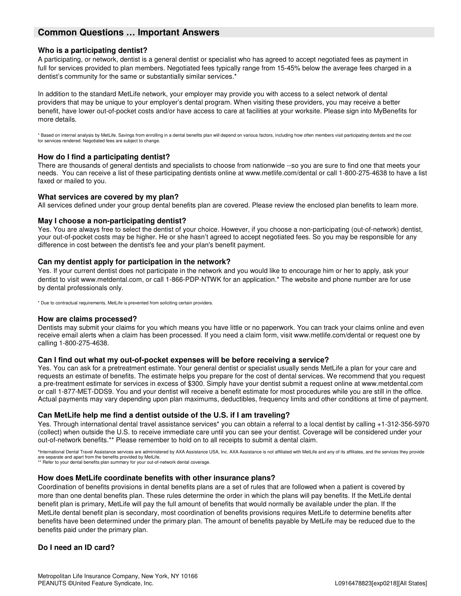## **Common Questions … Important Answers**

#### **Who is a participating dentist?**

A participating, or network, dentist is a general dentist or specialist who has agreed to accept negotiated fees as payment in full for services provided to plan members. Negotiated fees typically range from 15-45% below the average fees charged in a dentist's community for the same or substantially similar services.\*

In addition to the standard MetLife network, your employer may provide you with access to a select network of dental providers that may be unique to your employer's dental program. When visiting these providers, you may receive a better benefit, have lower out-of-pocket costs and/or have access to care at facilities at your worksite. Please sign into MyBenefits for more details.

\* Based on internal analysis by MetLife. Savings from enrolling in a dental benefits plan will depend on various factors, including how often members visit participating dentists and the cost for services rendered. Negotiated fees are subject to change.

#### **How do I find a participating dentist?**

There are thousands of general dentists and specialists to choose from nationwide --so you are sure to find one that meets your needs. You can receive a list of these participating dentists online at www.metlife.com/dental or call 1-800-275-4638 to have a list faxed or mailed to you.

#### **What services are covered by my plan?**

All services defined under your group dental benefits plan are covered. Please review the enclosed plan benefits to learn more.

#### **May I choose a non-participating dentist?**

Yes. You are always free to select the dentist of your choice. However, if you choose a non-participating (out-of-network) dentist, your out-of-pocket costs may be higher. He or she hasn't agreed to accept negotiated fees. So you may be responsible for any difference in cost between the dentist's fee and your plan's benefit payment.

#### **Can my dentist apply for participation in the network?**

Yes. If your current dentist does not participate in the network and you would like to encourage him or her to apply, ask your dentist to visit www.metdental.com, or call 1-866-PDP-NTWK for an application.\* The website and phone number are for use by dental professionals only.

\* Due to contractual requirements, MetLife is prevented from soliciting certain providers.

#### **How are claims processed?**

Dentists may submit your claims for you which means you have little or no paperwork. You can track your claims online and even receive email alerts when a claim has been processed. If you need a claim form, visit www.metlife.com/dental or request one by calling 1-800-275-4638.

#### **Can I find out what my out-of-pocket expenses will be before receiving a service?**

Yes. You can ask for a pretreatment estimate. Your general dentist or specialist usually sends MetLife a plan for your care and requests an estimate of benefits. The estimate helps you prepare for the cost of dental services. We recommend that you request a pre-treatment estimate for services in excess of \$300. Simply have your dentist submit a request online at www.metdental.com or call 1-877-MET-DDS9. You and your dentist will receive a benefit estimate for most procedures while you are still in the office. Actual payments may vary depending upon plan maximums, deductibles, frequency limits and other conditions at time of payment.

#### **Can MetLife help me find a dentist outside of the U.S. if I am traveling?**

Yes. Through international dental travel assistance services\* you can obtain a referral to a local dentist by calling +1-312-356-5970 (collect) when outside the U.S. to receive immediate care until you can see your dentist. Coverage will be considered under your out-of-network benefits.\*\* Please remember to hold on to all receipts to submit a dental claim.

**\***International Dental Travel Assistance services are administered by AXA Assistance USA, Inc. AXA Assistance is not affiliated with MetLife and any of its affiliates, and the services they provide are separate and apart from the benefits provided by MetLife. \*\* Refer to your dental benefits plan summary for your out-of-network dental coverage.

#### **How does MetLife coordinate benefits with other insurance plans?**

Coordination of benefits provisions in dental benefits plans are a set of rules that are followed when a patient is covered by more than one dental benefits plan. These rules determine the order in which the plans will pay benefits. If the MetLife dental benefit plan is primary, MetLife will pay the full amount of benefits that would normally be available under the plan. If the MetLife dental benefit plan is secondary, most coordination of benefits provisions requires MetLife to determine benefits after benefits have been determined under the primary plan. The amount of benefits payable by MetLife may be reduced due to the benefits paid under the primary plan.

#### **Do I need an ID card?**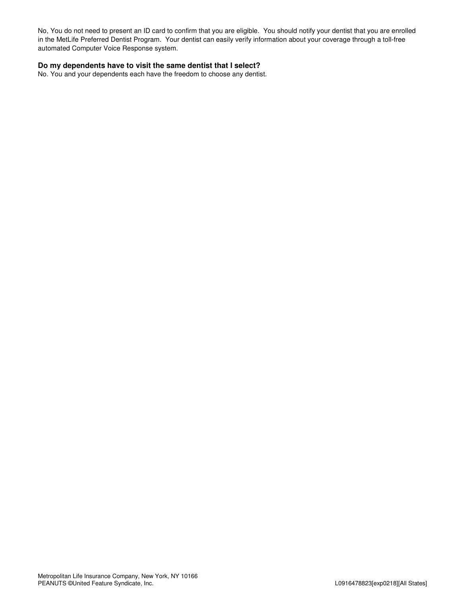No, You do not need to present an ID card to confirm that you are eligible. You should notify your dentist that you are enrolled in the MetLife Preferred Dentist Program. Your dentist can easily verify information about your coverage through a toll-free automated Computer Voice Response system.

#### **Do my dependents have to visit the same dentist that I select?**

No. You and your dependents each have the freedom to choose any dentist.